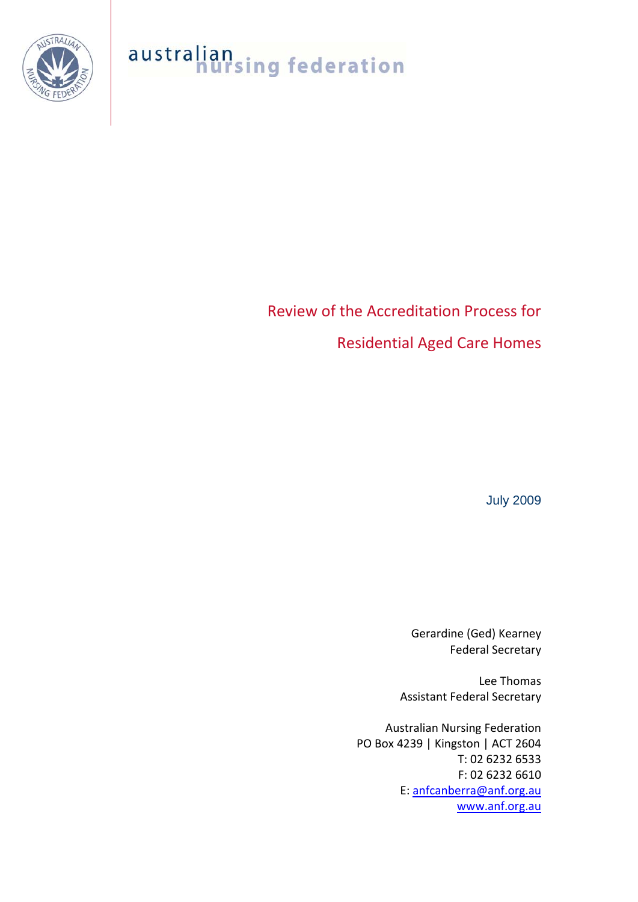

## australian<br>nursing federation

## Review of the Accreditation Process for Residential Aged Care Homes

July 2009

Gerardine (Ged) Kearney Federal Secretary

Lee Thomas Assistant Federal Secretary

Australian Nursing Federation PO Box 4239 | Kingston | ACT 2604 T: 02 6232 6533 F: 02 6232 6610 E: [anfcanberra@anf.org.au](mailto:anfcanberra@anf.org.au) [www.anf.org.au](http://www.anf.org.au/)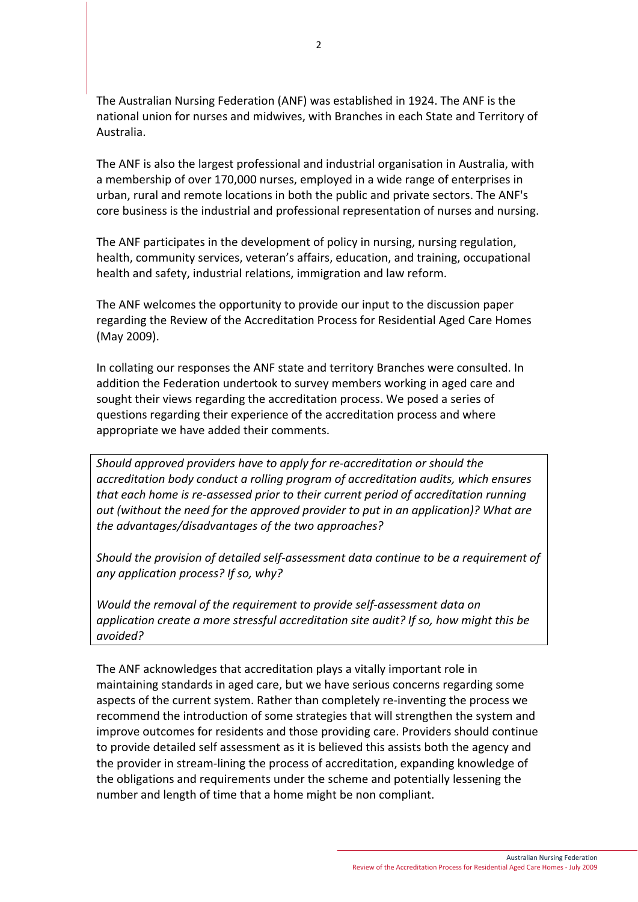The Australian Nursing Federation (ANF) was established in 1924. The ANF is the national union for nurses and midwives, with Branches in each State and Territory of Australia.

The ANF is also the largest professional and industrial organisation in Australia, with a membership of over 170,000 nurses, employed in a wide range of enterprises in urban, rural and remote locations in both the public and private sectors. The ANF's core business is the industrial and professional representation of nurses and nursing.

The ANF participates in the development of policy in nursing, nursing regulation, health, community services, veteran's affairs, education, and training, occupational health and safety, industrial relations, immigration and law reform.

The ANF welcomes the opportunity to provide our input to the discussion paper regarding the Review of the Accreditation Process for Residential Aged Care Homes (May 2009).

In collating our responses the ANF state and territory Branches were consulted. In addition the Federation undertook to survey members working in aged care and sought their views regarding the accreditation process. We posed a series of questions regarding their experience of the accreditation process and where appropriate we have added their comments.

*Should approved providers have to apply for re‐accreditation or should the accreditation body conduct a rolling program of accreditation audits, which ensures that each home is re‐assessed prior to their current period of accreditation running out (without the need for the approved provider to put in an application)? What are the advantages/disadvantages of the two approaches?*

*Should the provision of detailed self‐assessment data continue to be a requirement of any application process? If so, why?*

*Would the removal of the requirement to provide self‐assessment data on application create a more stressful accreditation site audit? If so, how might this be avoided?*

The ANF acknowledges that accreditation plays a vitally important role in maintaining standards in aged care, but we have serious concerns regarding some aspects of the current system. Rather than completely re‐inventing the process we recommend the introduction of some strategies that will strengthen the system and improve outcomes for residents and those providing care. Providers should continue to provide detailed self assessment as it is believed this assists both the agency and the provider in stream‐lining the process of accreditation, expanding knowledge of the obligations and requirements under the scheme and potentially lessening the number and length of time that a home might be non compliant.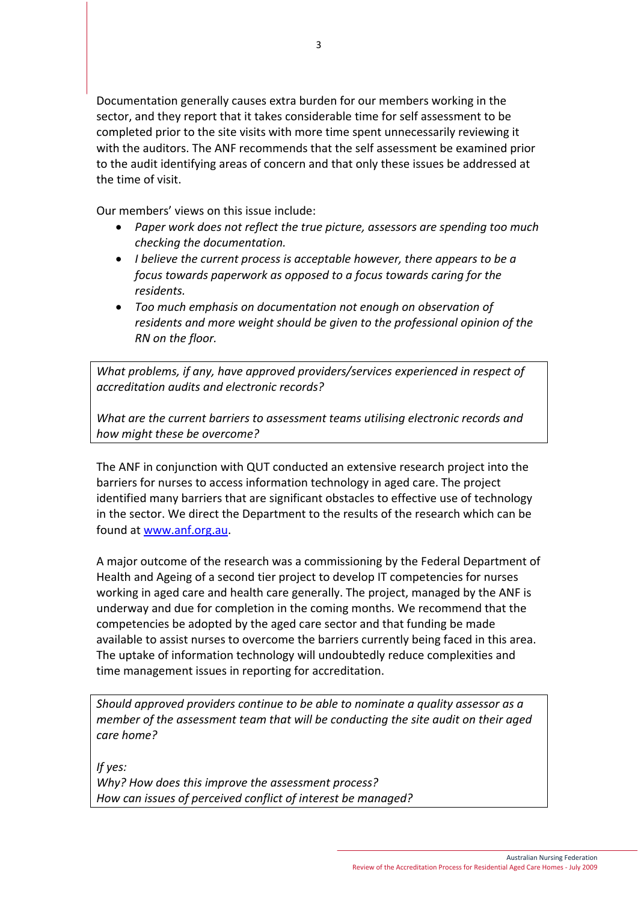Documentation generally causes extra burden for our members working in the sector, and they report that it takes considerable time for self assessment to be completed prior to the site visits with more time spent unnecessarily reviewing it with the auditors. The ANF recommends that the self assessment be examined prior to the audit identifying areas of concern and that only these issues be addressed at the time of visit.

Our members' views on this issue include:

- *Paper work does not reflect the true picture, assessors are spending too much checking the documentation.*
- *I believe the current process is acceptable however, there appears to be a focus towards paperwork as opposed to a focus towards caring for the residents.*
- *Too much emphasis on documentation not enough on observation of residents and more weight should be given to the professional opinion of the RN on the floor.*

*What problems, if any, have approved providers/services experienced in respect of accreditation audits and electronic records?*

*What are the current barriers to assessment teams utilising electronic records and how might these be overcome?*

The ANF in conjunction with QUT conducted an extensive research project into the barriers for nurses to access information technology in aged care. The project identified many barriers that are significant obstacles to effective use of technology in the sector. We direct the Department to the results of the research which can be found at [www.anf.org.au.](http://www.anf.org.au/)

A major outcome of the research was a commissioning by the Federal Department of Health and Ageing of a second tier project to develop IT competencies for nurses working in aged care and health care generally. The project, managed by the ANF is underway and due for completion in the coming months. We recommend that the competencies be adopted by the aged care sector and that funding be made available to assist nurses to overcome the barriers currently being faced in this area. The uptake of information technology will undoubtedly reduce complexities and time management issues in reporting for accreditation.

*Should approved providers continue to be able to nominate a quality assessor as a member of the assessment team that will be conducting the site audit on their aged care home?*

*If yes: Why? How does this improve the assessment process? How can issues of perceived conflict of interest be managed?*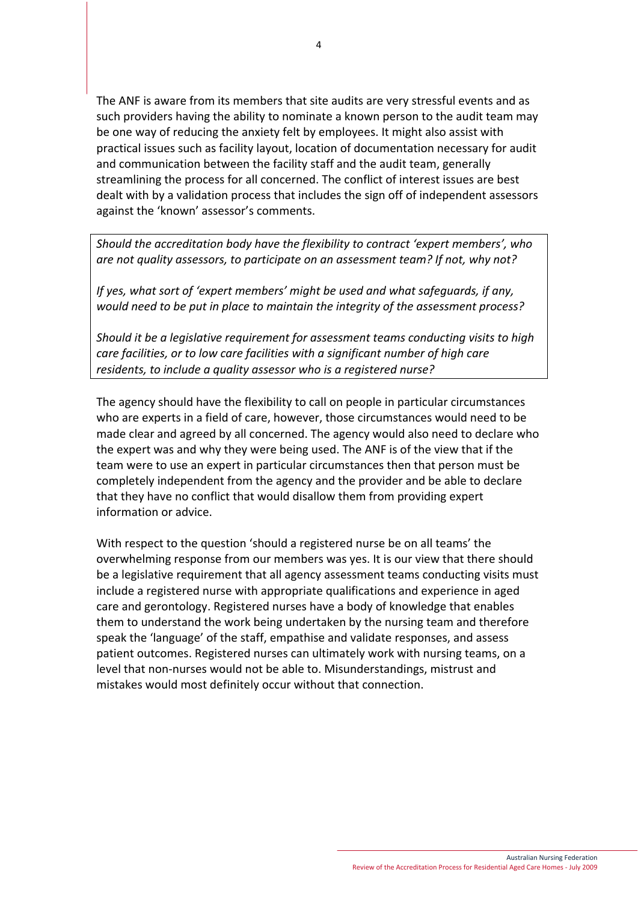The ANF is aware from its members that site audits are very stressful events and as such providers having the ability to nominate a known person to the audit team may be one way of reducing the anxiety felt by employees. It might also assist with practical issues such as facility layout, location of documentation necessary for audit and communication between the facility staff and the audit team, generally streamlining the process for all concerned. The conflict of interest issues are best dealt with by a validation process that includes the sign off of independent assessors against the 'known' assessor's comments.

*Should the accreditation body have the flexibility to contract 'expert members', who are not quality assessors, to participate on an assessment team? If not, why not?*

*If yes, what sort of 'expert members' might be used and what safeguards, if any, would need to be put in place to maintain the integrity of the assessment process?*

*Should it be a legislative requirement for assessment teams conducting visits to high care facilities, or to low care facilities with a significant number of high care residents, to include a quality assessor who is a registered nurse?*

The agency should have the flexibility to call on people in particular circumstances who are experts in a field of care, however, those circumstances would need to be made clear and agreed by all concerned. The agency would also need to declare who the expert was and why they were being used. The ANF is of the view that if the team were to use an expert in particular circumstances then that person must be completely independent from the agency and the provider and be able to declare that they have no conflict that would disallow them from providing expert information or advice.

With respect to the question 'should a registered nurse be on all teams' the overwhelming response from our members was yes. It is our view that there should be a legislative requirement that all agency assessment teams conducting visits must include a registered nurse with appropriate qualifications and experience in aged care and gerontology. Registered nurses have a body of knowledge that enables them to understand the work being undertaken by the nursing team and therefore speak the 'language' of the staff, empathise and validate responses, and assess patient outcomes. Registered nurses can ultimately work with nursing teams, on a level that non‐nurses would not be able to. Misunderstandings, mistrust and mistakes would most definitely occur without that connection.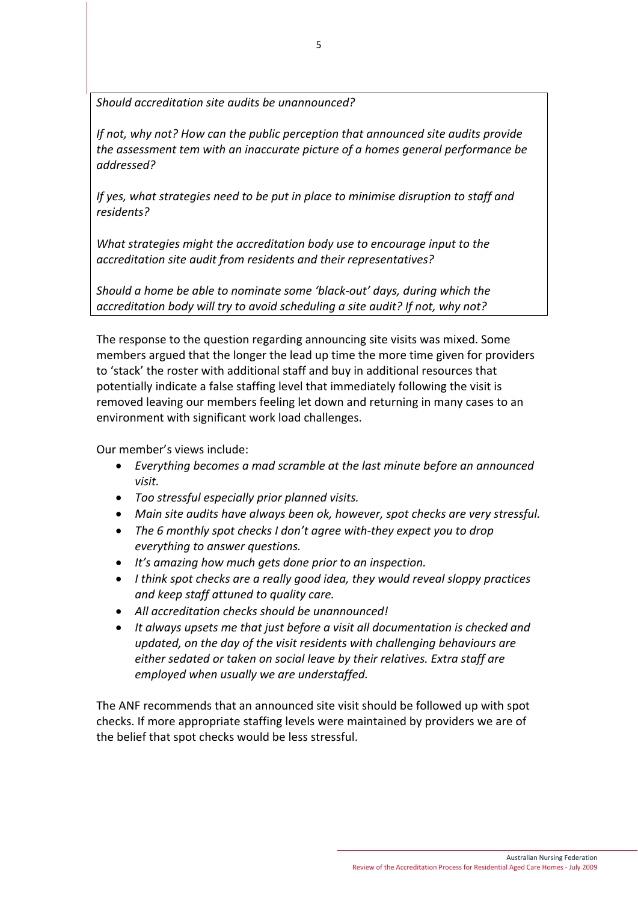*Should accreditation site audits be unannounced?*

*If not, why not? How can the public perception that announced site audits provide the assessment tem with an inaccurate picture of a homes general performance be addressed?*

*If yes, what strategies need to be put in place to minimise disruption to staff and residents?*

*What strategies might the accreditation body use to encourage input to the accreditation site audit from residents and their representatives?*

*Should a home be able to nominate some 'black‐out' days, during which the accreditation body will try to avoid scheduling a site audit? If not, why not?*

The response to the question regarding announcing site visits was mixed. Some members argued that the longer the lead up time the more time given for providers to 'stack' the roster with additional staff and buy in additional resources that potentially indicate a false staffing level that immediately following the visit is removed leaving our members feeling let down and returning in many cases to an environment with significant work load challenges.

Our member's views include:

- *Everything becomes a mad scramble at the last minute before an announced visit.*
- *Too stressful especially prior planned visits.*
- *Main site audits have always been ok, however, spot checks are very stressful.*
- *The 6 monthly spot checks I don't agree with‐they expect you to drop everything to answer questions.*
- *It's amazing how much gets done prior to an inspection.*
- *I think spot checks are a really good idea, they would reveal sloppy practices and keep staff attuned to quality care.*
- *All accreditation checks should be unannounced!*
- *It always upsets me that just before a visit all documentation is checked and updated, on the day of the visit residents with challenging behaviours are either sedated or taken on social leave by their relatives. Extra staff are employed when usually we are understaffed.*

The ANF recommends that an announced site visit should be followed up with spot checks. If more appropriate staffing levels were maintained by providers we are of the belief that spot checks would be less stressful.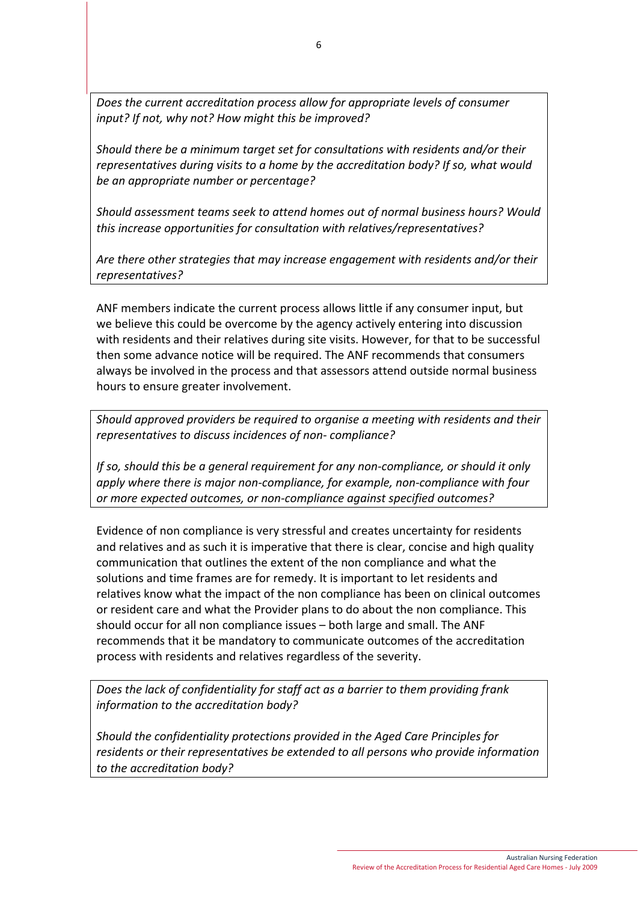*Does the current accreditation process allow for appropriate levels of consumer input? If not, why not? How might this be improved?*

*Should there be a minimum target set for consultations with residents and/or their representatives during visits to a home by the accreditation body? If so, what would be an appropriate number or percentage?*

*Should assessment teams seek to attend homes out of normal business hours? Would this increase opportunities for consultation with relatives/representatives?*

*Are there other strategies that may increase engagement with residents and/or their representatives?*

ANF members indicate the current process allows little if any consumer input, but we believe this could be overcome by the agency actively entering into discussion with residents and their relatives during site visits. However, for that to be successful then some advance notice will be required. The ANF recommends that consumers always be involved in the process and that assessors attend outside normal business hours to ensure greater involvement.

*Should approved providers be required to organise a meeting with residents and their representatives to discuss incidences of non‐ compliance?*

*If so, should this be a general requirement for any non‐compliance, or should it only apply where there is major non‐compliance, for example, non‐compliance with four or more expected outcomes, or non‐compliance against specified outcomes?*

Evidence of non compliance is very stressful and creates uncertainty for residents and relatives and as such it is imperative that there is clear, concise and high quality communication that outlines the extent of the non compliance and what the solutions and time frames are for remedy. It is important to let residents and relatives know what the impact of the non compliance has been on clinical outcomes or resident care and what the Provider plans to do about the non compliance. This should occur for all non compliance issues – both large and small. The ANF recommends that it be mandatory to communicate outcomes of the accreditation process with residents and relatives regardless of the severity.

*Does the lack of confidentiality for staff act as a barrier to them providing frank information to the accreditation body?*

*Should the confidentiality protections provided in the Aged Care Principles for residents or their representatives be extended to all persons who provide information to the accreditation body?*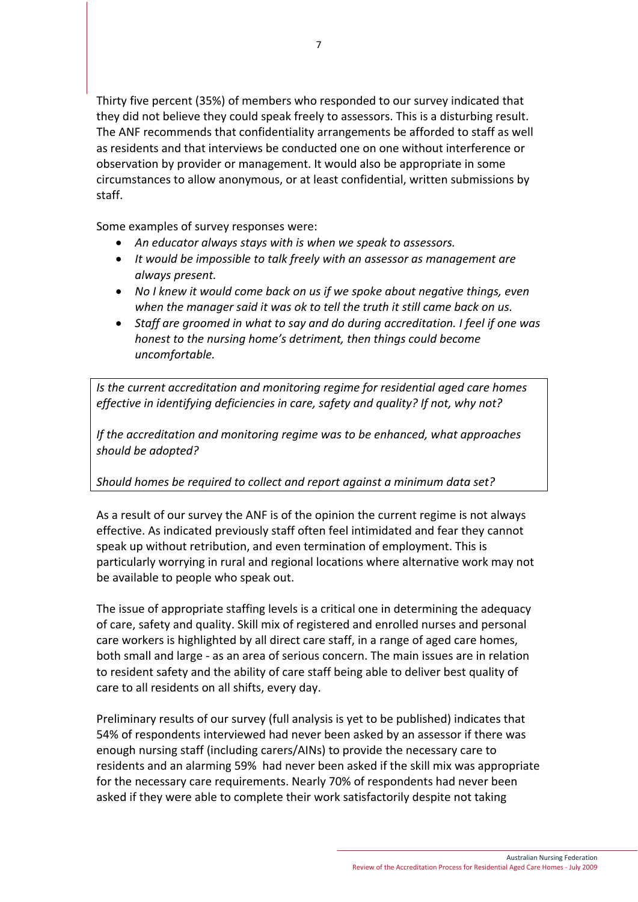Thirty five percent (35%) of members who responded to our survey indicated that they did not believe they could speak freely to assessors. This is a disturbing result. The ANF recommends that confidentiality arrangements be afforded to staff as well as residents and that interviews be conducted one on one without interference or observation by provider or management. It would also be appropriate in some circumstances to allow anonymous, or at least confidential, written submissions by staff.

Some examples of survey responses were:

- *An educator always stays with is when we speak to assessors.*
- *It would be impossible to talk freely with an assessor as management are always present.*
- *No I knew it would come back on us if we spoke about negative things, even when the manager said it was ok to tell the truth it still came back on us.*
- *Staff are groomed in what to say and do during accreditation. I feel if one was honest to the nursing home's detriment, then things could become uncomfortable.*

*Is the current accreditation and monitoring regime for residential aged care homes effective in identifying deficiencies in care, safety and quality? If not, why not?*

*If the accreditation and monitoring regime was to be enhanced, what approaches should be adopted?*

## *Should homes be required to collect and report against a minimum data set?*

As a result of our survey the ANF is of the opinion the current regime is not always effective. As indicated previously staff often feel intimidated and fear they cannot speak up without retribution, and even termination of employment. This is particularly worrying in rural and regional locations where alternative work may not be available to people who speak out.

The issue of appropriate staffing levels is a critical one in determining the adequacy of care, safety and quality. Skill mix of registered and enrolled nurses and personal care workers is highlighted by all direct care staff, in a range of aged care homes, both small and large ‐ as an area of serious concern. The main issues are in relation to resident safety and the ability of care staff being able to deliver best quality of care to all residents on all shifts, every day.

Preliminary results of our survey (full analysis is yet to be published) indicates that 54% of respondents interviewed had never been asked by an assessor if there was enough nursing staff (including carers/AINs) to provide the necessary care to residents and an alarming 59% had never been asked if the skill mix was appropriate for the necessary care requirements. Nearly 70% of respondents had never been asked if they were able to complete their work satisfactorily despite not taking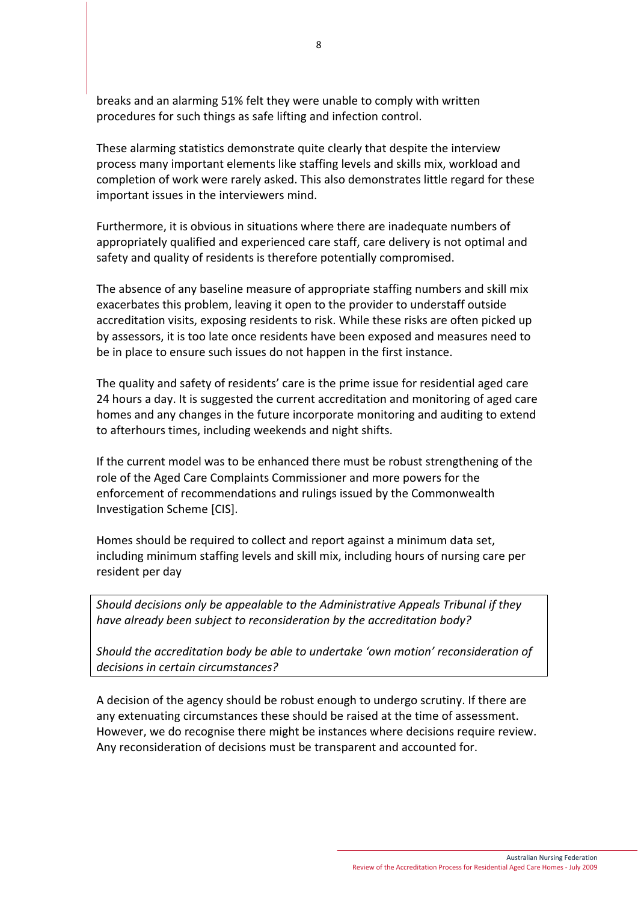breaks and an alarming 51% felt they were unable to comply with written procedures for such things as safe lifting and infection control.

These alarming statistics demonstrate quite clearly that despite the interview process many important elements like staffing levels and skills mix, workload and completion of work were rarely asked. This also demonstrates little regard for these important issues in the interviewers mind.

Furthermore, it is obvious in situations where there are inadequate numbers of appropriately qualified and experienced care staff, care delivery is not optimal and safety and quality of residents is therefore potentially compromised.

The absence of any baseline measure of appropriate staffing numbers and skill mix exacerbates this problem, leaving it open to the provider to understaff outside accreditation visits, exposing residents to risk. While these risks are often picked up by assessors, it is too late once residents have been exposed and measures need to be in place to ensure such issues do not happen in the first instance.

The quality and safety of residents' care is the prime issue for residential aged care 24 hours a day. It is suggested the current accreditation and monitoring of aged care homes and any changes in the future incorporate monitoring and auditing to extend to afterhours times, including weekends and night shifts.

If the current model was to be enhanced there must be robust strengthening of the role of the Aged Care Complaints Commissioner and more powers for the enforcement of recommendations and rulings issued by the Commonwealth Investigation Scheme [CIS].

Homes should be required to collect and report against a minimum data set, including minimum staffing levels and skill mix, including hours of nursing care per resident per day

*Should decisions only be appealable to the Administrative Appeals Tribunal if they have already been subject to reconsideration by the accreditation body?*

*Should the accreditation body be able to undertake 'own motion' reconsideration of decisions in certain circumstances?*

A decision of the agency should be robust enough to undergo scrutiny. If there are any extenuating circumstances these should be raised at the time of assessment. However, we do recognise there might be instances where decisions require review. Any reconsideration of decisions must be transparent and accounted for.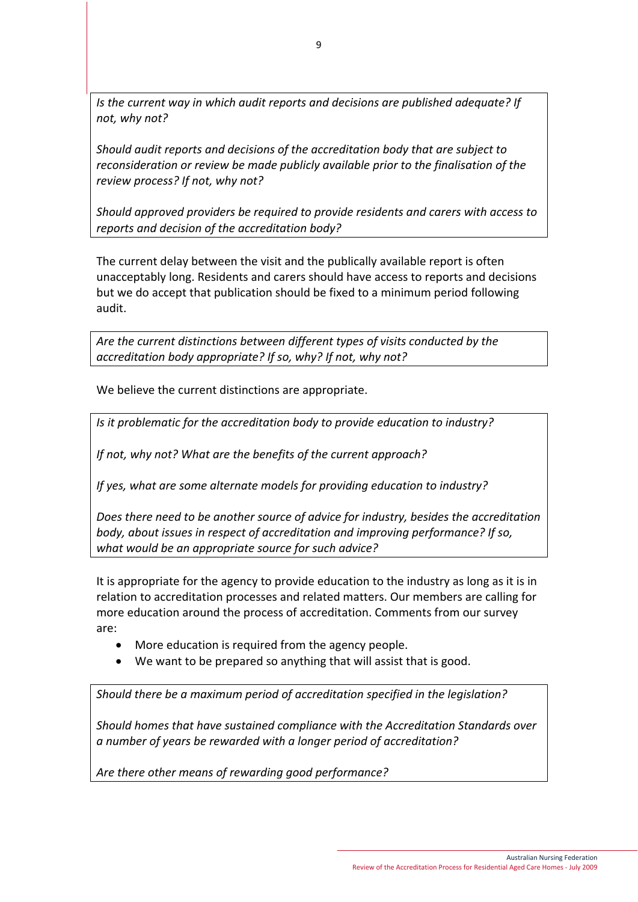*Is the current way in which audit reports and decisions are published adequate? If not, why not?*

*Should audit reports and decisions of the accreditation body that are subject to reconsideration or review be made publicly available prior to the finalisation of the review process? If not, why not?*

*Should approved providers be required to provide residents and carers with access to reports and decision of the accreditation body?*

The current delay between the visit and the publically available report is often unacceptably long. Residents and carers should have access to reports and decisions but we do accept that publication should be fixed to a minimum period following audit.

*Are the current distinctions between different types of visits conducted by the accreditation body appropriate? If so, why? If not, why not?*

We believe the current distinctions are appropriate.

*Is it problematic for the accreditation body to provide education to industry?*

*If not, why not? What are the benefits of the current approach?*

*If yes, what are some alternate models for providing education to industry?*

*Does there need to be another source of advice for industry, besides the accreditation body, about issues in respect of accreditation and improving performance? If so, what would be an appropriate source for such advice?*

It is appropriate for the agency to provide education to the industry as long as it is in relation to accreditation processes and related matters. Our members are calling for more education around the process of accreditation. Comments from our survey are:

- More education is required from the agency people.
- We want to be prepared so anything that will assist that is good.

*Should there be a maximum period of accreditation specified in the legislation?*

*Should homes that have sustained compliance with the Accreditation Standards over a number of years be rewarded with a longer period of accreditation?*

*Are there other means of rewarding good performance?*